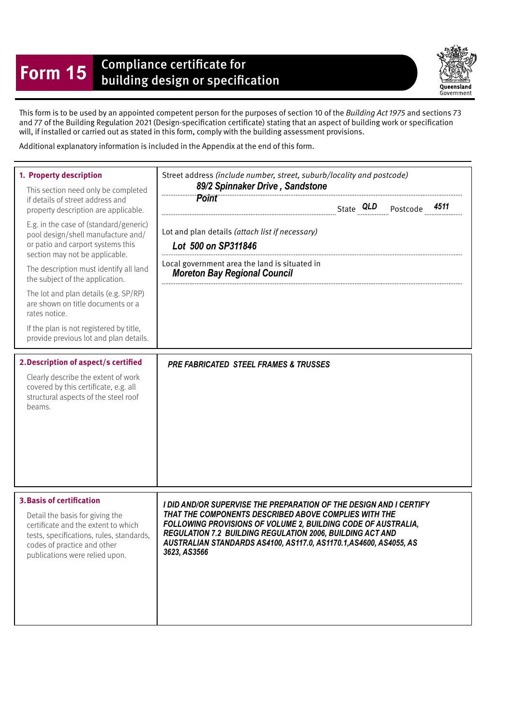## **Form 15** Compliance certificate for<br>building design or specification

Queensland Government

This form is to be used by an appointed competent person for the purposes of section 10 of the Building Act 1975 and sections 73 and 77 of the Building Regulation 2021 (Design-specifcation certifcate) stating that an aspect of building work or specifcation will, if installed or carried out as stated in this form, comply with the building assessment provisions.

Additional explanatory information is included in the Appendix at the end of this form.

| 1. Property description<br>This section need only be completed<br>if details of street address and<br>property description are applicable.<br>E.g. in the case of (standard/generic)<br>pool design/shell manufacture and/<br>or patio and carport systems this<br>section may not be applicable.<br>The description must identify all land<br>the subject of the application.<br>The lot and plan details (e.g. SP/RP)<br>are shown on title documents or a<br>rates notice.<br>If the plan is not registered by title,<br>provide previous lot and plan details. | Street address (include number, street, suburb/locality and postcode)<br>89/2 Spinnaker Drive, Sandstone<br><b>Point</b><br>4511<br>Lot and plan details (attach list if necessary)<br>Lot 500 on SP311846<br>Local government area the land is situated in<br><b>Moreton Bay Regional Council</b>                                                     |
|--------------------------------------------------------------------------------------------------------------------------------------------------------------------------------------------------------------------------------------------------------------------------------------------------------------------------------------------------------------------------------------------------------------------------------------------------------------------------------------------------------------------------------------------------------------------|--------------------------------------------------------------------------------------------------------------------------------------------------------------------------------------------------------------------------------------------------------------------------------------------------------------------------------------------------------|
| 2. Description of aspect/s certified<br>Clearly describe the extent of work<br>covered by this certificate, e.g. all<br>structural aspects of the steel roof<br>beams.                                                                                                                                                                                                                                                                                                                                                                                             | <b>PRE FABRICATED STEEL FRAMES &amp; TRUSSES</b>                                                                                                                                                                                                                                                                                                       |
| <b>3. Basis of certification</b><br>Detail the basis for giving the<br>certificate and the extent to which<br>tests, specifications, rules, standards,<br>codes of practice and other<br>publications were relied upon.                                                                                                                                                                                                                                                                                                                                            | I DID AND/OR SUPERVISE THE PREPARATION OF THE DESIGN AND I CERTIFY<br>THAT THE COMPONENTS DESCRIBED ABOVE COMPLIES WITH THE<br>FOLLOWING PROVISIONS OF VOLUME 2, BUILDING CODE OF AUSTRALIA,<br><b>REGULATION 7.2 BUILDING REGULATION 2006, BUILDING ACT AND</b><br>AUSTRALIAN STANDARDS AS4100, AS117.0, AS1170.1, AS4600, AS4055, AS<br>3623, AS3566 |